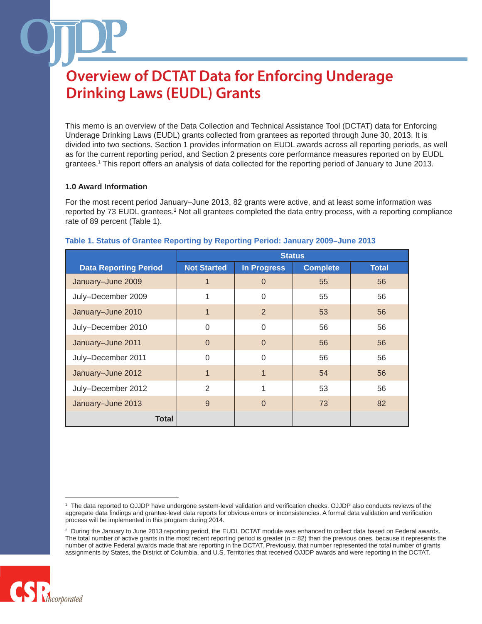This memo is an overview of the Data Collection and Technical Assistance Tool (DCTAT) data for Enforcing Underage Drinking Laws (EUDL) grants collected from grantees as reported through June 30, 2013. It is divided into two sections. Section 1 provides information on EUDL awards across all reporting periods, as well as for the current reporting period, and Section 2 presents core performance measures reported on by EUDL grantees.1 This report offers an analysis of data collected for the reporting period of January to June 2013.

## **1.0 Award Information**

For the most recent period January–June 2013, 82 grants were active, and at least some information was reported by 73 EUDL grantees.<sup>2</sup> Not all grantees completed the data entry process, with a reporting compliance rate of 89 percent (Table 1).

|                              | <b>Status</b>      |                    |                 |              |
|------------------------------|--------------------|--------------------|-----------------|--------------|
| <b>Data Reporting Period</b> | <b>Not Started</b> | <b>In Progress</b> | <b>Complete</b> | <b>Total</b> |
| January-June 2009            | 1                  | 0                  | 55              | 56           |
| July-December 2009           | 1                  | 0                  | 55              | 56           |
| January-June 2010            | 1                  | $\overline{2}$     | 53              | 56           |
| July-December 2010           | $\Omega$           | 0                  | 56              | 56           |
| January-June 2011            | $\Omega$           | $\Omega$           | 56              | 56           |
| July-December 2011           | $\Omega$           | 0                  | 56              | 56           |
| January-June 2012            | $\mathbf 1$        | 1                  | 54              | 56           |
| July-December 2012           | 2                  | 1                  | 53              | 56           |
| January-June 2013            | 9                  | $\Omega$           | 73              | 82           |
| Total                        |                    |                    |                 |              |

#### **Table 1. Status of Grantee Reporting by Reporting Period: January 2009–June 2013**

<sup>&</sup>lt;sup>2</sup> During the January to June 2013 reporting period, the EUDL DCTAT module was enhanced to collect data based on Federal awards. The total number of active grants in the most recent reporting period is greater  $(n = 82)$  than the previous ones, because it represents the number of active Federal awards made that are reporting in the DCTAT. Previously, that number represented the total number of grants assignments by States, the District of Columbia, and U.S. Territories that received OJJDP awards and were reporting in the DCTAT.



<sup>1</sup> The data reported to OJJDP have undergone system-level validation and verification checks. OJJDP also conducts reviews of the aggregate data findings and grantee-level data reports for obvious errors or inconsistencies. A formal data validation and verification process will be implemented in this program during 2014.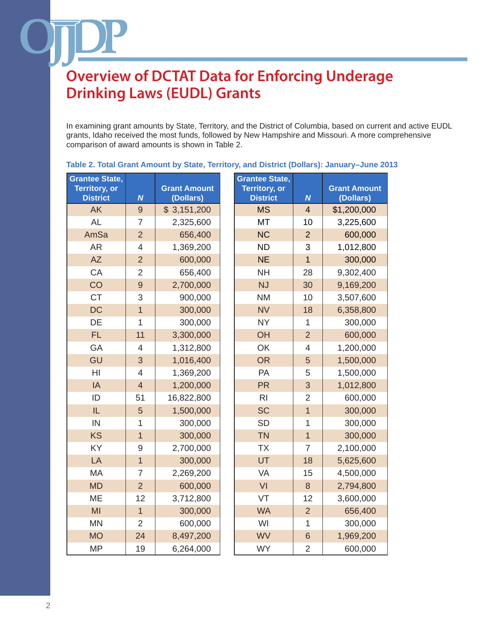In examining grant amounts by State, Territory, and the District of Columbia, based on current and active EUDL grants, Idaho received the most funds, followed by New Hampshire and Missouri. A more comprehensive comparison of award amounts is shown in Table 2.

| <b>Grantee State,</b> |                  |                     | <b>Grantee State,</b> |                  |                     |
|-----------------------|------------------|---------------------|-----------------------|------------------|---------------------|
| <b>Territory, or</b>  |                  | <b>Grant Amount</b> | <b>Territory, or</b>  |                  | <b>Grant Amount</b> |
| <b>District</b>       | $\boldsymbol{N}$ | (Dollars)           | <b>District</b>       | $\boldsymbol{N}$ | (Dollars)           |
| <b>AK</b>             | $\overline{9}$   | \$3,151,200         | <b>MS</b>             | $\overline{4}$   | \$1,200,000         |
| <b>AL</b>             | $\overline{7}$   | 2,325,600           | <b>MT</b>             | 10               | 3,225,600           |
| AmSa                  | $\overline{2}$   | 656,400             | <b>NC</b>             | $\overline{2}$   | 600,000             |
| <b>AR</b>             | $\overline{4}$   | 1,369,200           | <b>ND</b>             | 3                | 1,012,800           |
| <b>AZ</b>             | $\overline{2}$   | 600,000             | <b>NE</b>             | $\overline{1}$   | 300,000             |
| CA                    | $\overline{2}$   | 656,400             | <b>NH</b>             | 28               | 9,302,400           |
| CO                    | 9                | 2,700,000           | <b>NJ</b>             | 30               | 9,169,200           |
| <b>CT</b>             | 3                | 900,000             | <b>NM</b>             | 10               | 3,507,600           |
| <b>DC</b>             | $\overline{1}$   | 300,000             | <b>NV</b>             | 18               | 6,358,800           |
| DE                    | 1                | 300,000             | <b>NY</b>             | 1                | 300,000             |
| <b>FL</b>             | 11               | 3,300,000           | OH                    | $\overline{2}$   | 600,000             |
| GA                    | $\overline{4}$   | 1,312,800           | OK                    | 4                | 1,200,000           |
| GU                    | 3                | 1,016,400           | <b>OR</b>             | 5                | 1,500,000           |
| HI                    | $\overline{4}$   | 1,369,200           | PA                    | 5                | 1,500,000           |
| IA                    | $\overline{4}$   | 1,200,000           | <b>PR</b>             | 3                | 1,012,800           |
| ID                    | 51               | 16,822,800          | R <sub>l</sub>        | $\overline{2}$   | 600,000             |
| IL                    | 5                | 1,500,000           | <b>SC</b>             | $\overline{1}$   | 300,000             |
| IN                    | 1                | 300,000             | <b>SD</b>             | $\overline{1}$   | 300,000             |
| <b>KS</b>             | $\overline{1}$   | 300,000             | <b>TN</b>             | $\overline{1}$   | 300,000             |
| KY                    | 9                | 2,700,000           | <b>TX</b>             | $\overline{7}$   | 2,100,000           |
| LA                    | $\overline{1}$   | 300,000             | UT                    | 18               | 5,625,600           |
| <b>MA</b>             | $\overline{7}$   | 2,269,200           | VA                    | 15               | 4,500,000           |
| <b>MD</b>             | $\overline{2}$   | 600,000             | VI                    | 8                | 2,794,800           |
| <b>ME</b>             | 12               | 3,712,800           | VT                    | 12               | 3,600,000           |
| MI                    | $\overline{1}$   | 300,000             | <b>WA</b>             | $\overline{2}$   | 656,400             |
| <b>MN</b>             | $\overline{2}$   | 600,000             | WI                    | $\overline{1}$   | 300,000             |
| <b>MO</b>             | 24               | 8,497,200           | <b>WV</b>             | $6\phantom{1}6$  | 1,969,200           |
| <b>MP</b>             | 19               | 6,264,000           | <b>WY</b>             | $\overline{2}$   | 600,000             |

## **Table 2. Total Grant Amount by State, Territory, and District (Dollars): January–June 2013**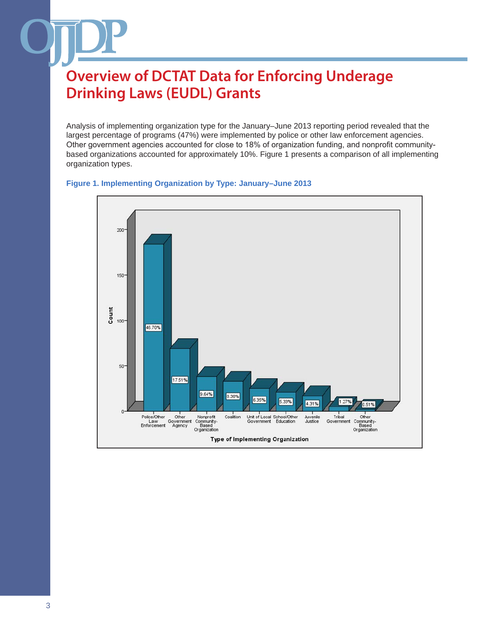Analysis of implementing organization type for the January–June 2013 reporting period revealed that the largest percentage of programs (47%) were implemented by police or other law enforcement agencies. Other government agencies accounted for close to 18% of organization funding, and nonprofit communitybased organizations accounted for approximately 10%. Figure 1 presents a comparison of all implementing organization types.

#### **Figure 1. Implementing Organization by Type: January–June 2013**

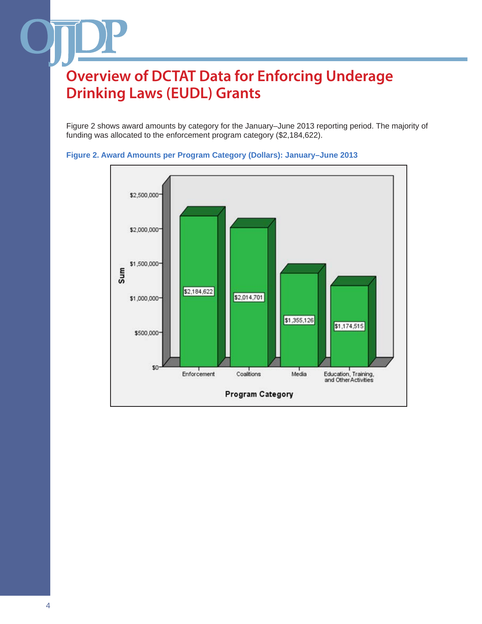Figure 2 shows award amounts by category for the January–June 2013 reporting period. The majority of funding was allocated to the enforcement program category (\$2,184,622).



#### **Figure 2. Award Amounts per Program Category (Dollars): January–June 2013**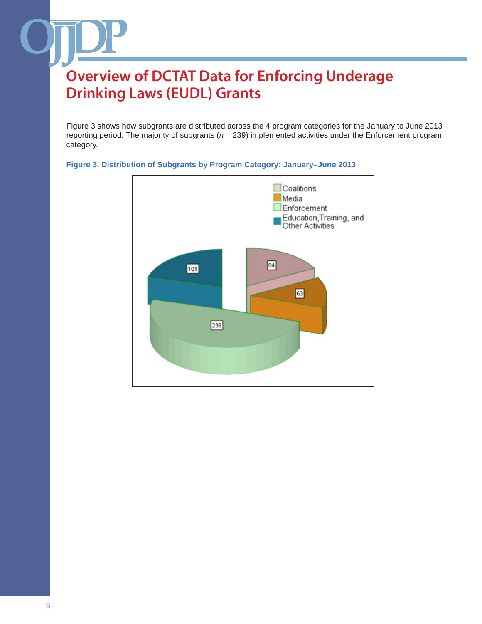Figure 3 shows how subgrants are distributed across the 4 program categories for the January to June 2013 reporting period. The majority of subgrants (*n* = 239) implemented activities under the Enforcement program category.



### **Figure 3. Distribution of Subgrants by Program Category: January–June 2013**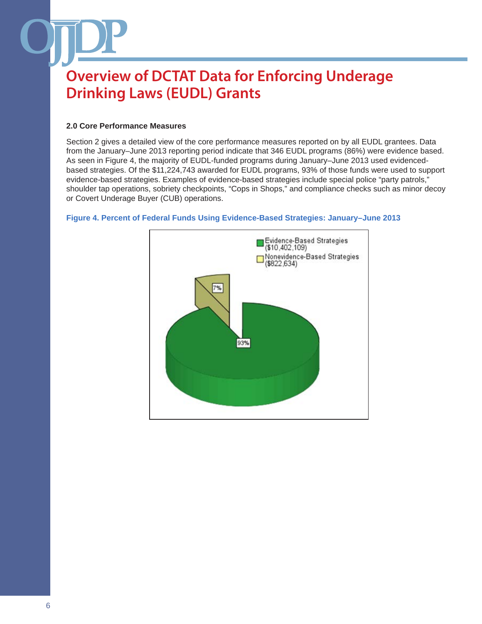## **2.0 Core Performance Measures**

Section 2 gives a detailed view of the core performance measures reported on by all EUDL grantees. Data from the January–June 2013 reporting period indicate that 346 EUDL programs (86%) were evidence based. As seen in Figure 4, the majority of EUDL-funded programs during January–June 2013 used evidencedbased strategies. Of the \$11,224,743 awarded for EUDL programs, 93% of those funds were used to support evidence-based strategies. Examples of evidence-based strategies include special police "party patrols," shoulder tap operations, sobriety checkpoints, "Cops in Shops," and compliance checks such as minor decoy or Covert Underage Buyer (CUB) operations.



### **Figure 4. Percent of Federal Funds Using Evidence-Based Strategies: January–June 2013**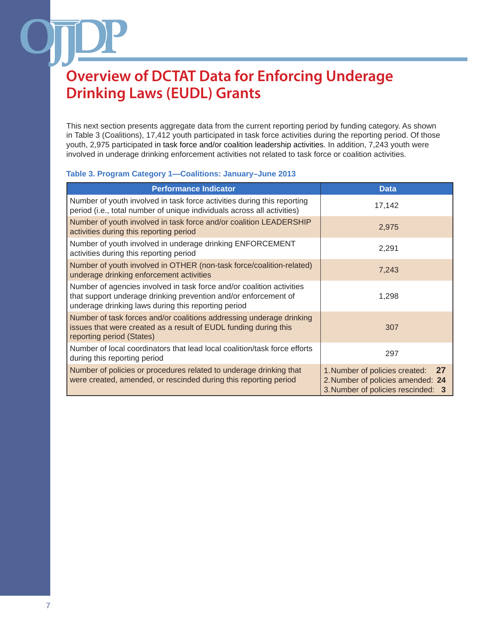This next section presents aggregate data from the current reporting period by funding category. As shown in Table 3 (Coalitions), 17,412 youth participated in task force activities during the reporting period. Of those youth, 2,975 participated in task force and/or coalition leadership activities. In addition, 7,243 youth were involved in underage drinking enforcement activities not related to task force or coalition activities.

#### **Table 3. Program Category 1—Coalitions: January–June 2013**

| <b>Performance Indicator</b>                                                                                                                                                                    | <b>Data</b>                                                                                                     |
|-------------------------------------------------------------------------------------------------------------------------------------------------------------------------------------------------|-----------------------------------------------------------------------------------------------------------------|
| Number of youth involved in task force activities during this reporting<br>period (i.e., total number of unique individuals across all activities)                                              | 17,142                                                                                                          |
| Number of youth involved in task force and/or coalition LEADERSHIP<br>activities during this reporting period                                                                                   | 2,975                                                                                                           |
| Number of youth involved in underage drinking ENFORCEMENT<br>activities during this reporting period                                                                                            | 2,291                                                                                                           |
| Number of youth involved in OTHER (non-task force/coalition-related)<br>underage drinking enforcement activities                                                                                | 7,243                                                                                                           |
| Number of agencies involved in task force and/or coalition activities<br>that support underage drinking prevention and/or enforcement of<br>underage drinking laws during this reporting period | 1,298                                                                                                           |
| Number of task forces and/or coalitions addressing underage drinking<br>issues that were created as a result of EUDL funding during this<br>reporting period (States)                           | 307                                                                                                             |
| Number of local coordinators that lead local coalition/task force efforts<br>during this reporting period                                                                                       | 297                                                                                                             |
| Number of policies or procedures related to underage drinking that<br>were created, amended, or rescinded during this reporting period                                                          | 1. Number of policies created:<br>27<br>2. Number of policies amended: 24<br>3. Number of policies rescinded: 3 |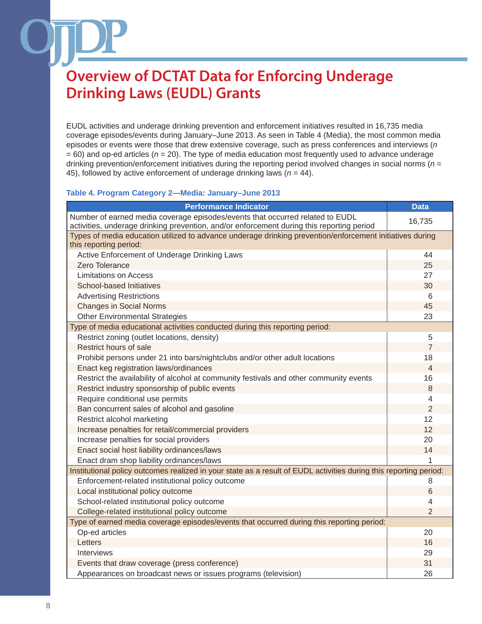EUDL activities and underage drinking prevention and enforcement initiatives resulted in 16,735 media coverage episodes/events during January–June 2013. As seen in Table 4 (Media), the most common media episodes or events were those that drew extensive coverage, such as press conferences and interviews (*n*  $= 60$ ) and op-ed articles ( $n = 20$ ). The type of media education most frequently used to advance underage drinking prevention/enforcement initiatives during the reporting period involved changes in social norms (*n* = 45), followed by active enforcement of underage drinking laws  $(n = 44)$ .

### **Table 4. Program Category 2—Media: January–June 2013**

| <b>Performance Indicator</b>                                                                                                                                               | <b>Data</b>    |  |  |
|----------------------------------------------------------------------------------------------------------------------------------------------------------------------------|----------------|--|--|
| Number of earned media coverage episodes/events that occurred related to EUDL<br>activities, underage drinking prevention, and/or enforcement during this reporting period | 16,735         |  |  |
| Types of media education utilized to advance underage drinking prevention/enforcement initiatives during<br>this reporting period:                                         |                |  |  |
| Active Enforcement of Underage Drinking Laws                                                                                                                               | 44             |  |  |
| Zero Tolerance                                                                                                                                                             | 25             |  |  |
| Limitations on Access                                                                                                                                                      | 27             |  |  |
| School-based Initiatives                                                                                                                                                   | 30             |  |  |
| <b>Advertising Restrictions</b>                                                                                                                                            | 6              |  |  |
| <b>Changes in Social Norms</b>                                                                                                                                             | 45             |  |  |
| <b>Other Environmental Strategies</b>                                                                                                                                      | 23             |  |  |
| Type of media educational activities conducted during this reporting period:                                                                                               |                |  |  |
| Restrict zoning (outlet locations, density)                                                                                                                                | 5              |  |  |
| Restrict hours of sale                                                                                                                                                     | $\overline{7}$ |  |  |
| Prohibit persons under 21 into bars/nightclubs and/or other adult locations                                                                                                | 18             |  |  |
| Enact keg registration laws/ordinances                                                                                                                                     | $\overline{4}$ |  |  |
| Restrict the availability of alcohol at community festivals and other community events                                                                                     | 16             |  |  |
| Restrict industry sponsorship of public events                                                                                                                             | 8              |  |  |
| Require conditional use permits                                                                                                                                            | 4              |  |  |
| Ban concurrent sales of alcohol and gasoline                                                                                                                               | $\overline{2}$ |  |  |
| Restrict alcohol marketing                                                                                                                                                 | 12             |  |  |
| Increase penalties for retail/commercial providers                                                                                                                         | 12             |  |  |
| Increase penalties for social providers                                                                                                                                    | 20             |  |  |
| Enact social host liability ordinances/laws                                                                                                                                | 14             |  |  |
| Enact dram shop liability ordinances/laws                                                                                                                                  | 1              |  |  |
| Institutional policy outcomes realized in your state as a result of EUDL activities during this reporting period:                                                          |                |  |  |
| Enforcement-related institutional policy outcome                                                                                                                           | 8              |  |  |
| Local institutional policy outcome                                                                                                                                         | 6              |  |  |
| School-related institutional policy outcome                                                                                                                                | 4              |  |  |
| College-related institutional policy outcome                                                                                                                               | $\overline{2}$ |  |  |
| Type of earned media coverage episodes/events that occurred during this reporting period:                                                                                  |                |  |  |
| Op-ed articles                                                                                                                                                             | 20             |  |  |
| Letters                                                                                                                                                                    | 16             |  |  |
| <b>Interviews</b>                                                                                                                                                          | 29             |  |  |
| Events that draw coverage (press conference)                                                                                                                               | 31             |  |  |
| Appearances on broadcast news or issues programs (television)                                                                                                              | 26             |  |  |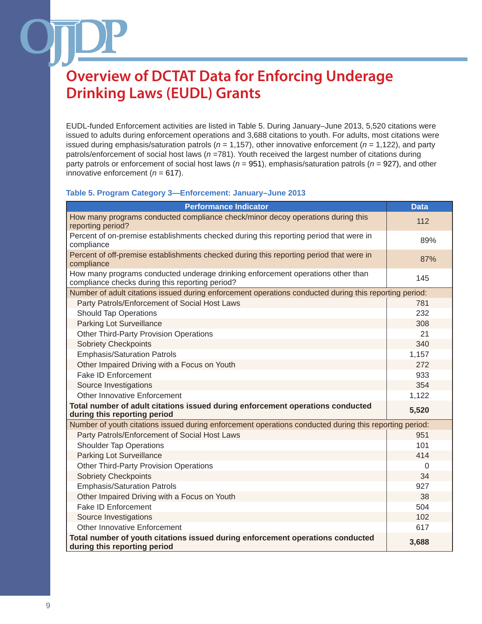EUDL-funded Enforcement activities are listed in Table 5. During January–June 2013, 5,520 citations were issued to adults during enforcement operations and 3,688 citations to youth. For adults, most citations were issued during emphasis/saturation patrols (*n* = 1,157), other innovative enforcement (*n* = 1,122), and party patrols/enforcement of social host laws (*n* =781). Youth received the largest number of citations during party patrols or enforcement of social host laws (*n* = 951), emphasis/saturation patrols (*n* = 927), and other innovative enforcement  $(n = 617)$ .

### **Table 5. Program Category 3—Enforcement: January–June 2013**

| <b>Performance Indicator</b>                                                                                                       | <b>Data</b> |
|------------------------------------------------------------------------------------------------------------------------------------|-------------|
| How many programs conducted compliance check/minor decoy operations during this<br>reporting period?                               | 112         |
| Percent of on-premise establishments checked during this reporting period that were in<br>compliance                               | 89%         |
| Percent of off-premise establishments checked during this reporting period that were in<br>compliance                              | 87%         |
| How many programs conducted underage drinking enforcement operations other than<br>compliance checks during this reporting period? | 145         |
| Number of adult citations issued during enforcement operations conducted during this reporting period:                             |             |
| Party Patrols/Enforcement of Social Host Laws                                                                                      | 781         |
| <b>Should Tap Operations</b>                                                                                                       | 232         |
| <b>Parking Lot Surveillance</b>                                                                                                    | 308         |
| Other Third-Party Provision Operations                                                                                             | 21          |
| <b>Sobriety Checkpoints</b>                                                                                                        | 340         |
| <b>Emphasis/Saturation Patrols</b>                                                                                                 | 1,157       |
| Other Impaired Driving with a Focus on Youth                                                                                       | 272         |
| <b>Fake ID Enforcement</b>                                                                                                         | 933         |
| Source Investigations                                                                                                              | 354         |
| Other Innovative Enforcement                                                                                                       | 1,122       |
| Total number of adult citations issued during enforcement operations conducted<br>during this reporting period                     | 5,520       |
| Number of youth citations issued during enforcement operations conducted during this reporting period:                             |             |
| Party Patrols/Enforcement of Social Host Laws                                                                                      | 951         |
| <b>Shoulder Tap Operations</b>                                                                                                     | 101         |
| <b>Parking Lot Surveillance</b>                                                                                                    | 414         |
| <b>Other Third-Party Provision Operations</b>                                                                                      | $\Omega$    |
| <b>Sobriety Checkpoints</b>                                                                                                        | 34          |
| <b>Emphasis/Saturation Patrols</b>                                                                                                 | 927         |
| Other Impaired Driving with a Focus on Youth                                                                                       | 38          |
| <b>Fake ID Enforcement</b>                                                                                                         | 504         |
| Source Investigations                                                                                                              | 102         |
| Other Innovative Enforcement                                                                                                       | 617         |
| Total number of youth citations issued during enforcement operations conducted<br>during this reporting period                     | 3,688       |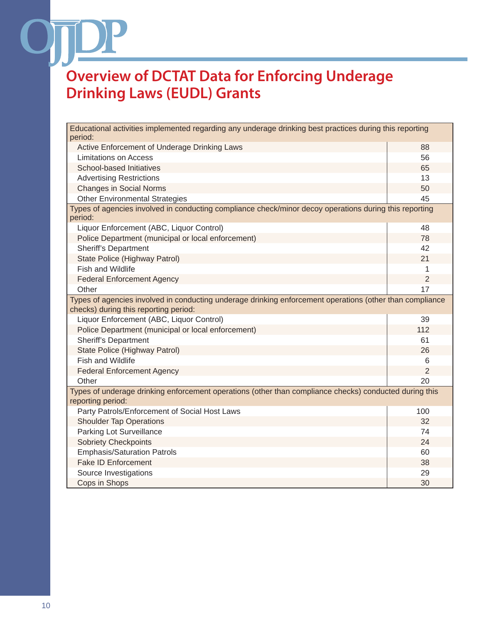$\mathcal{L}$ 

| Educational activities implemented regarding any underage drinking best practices during this reporting<br>period:                                |                |  |  |
|---------------------------------------------------------------------------------------------------------------------------------------------------|----------------|--|--|
| Active Enforcement of Underage Drinking Laws                                                                                                      | 88             |  |  |
| <b>Limitations on Access</b>                                                                                                                      | 56             |  |  |
| School-based Initiatives                                                                                                                          | 65             |  |  |
| <b>Advertising Restrictions</b>                                                                                                                   | 13             |  |  |
| <b>Changes in Social Norms</b>                                                                                                                    | 50             |  |  |
| <b>Other Environmental Strategies</b>                                                                                                             | 45             |  |  |
| Types of agencies involved in conducting compliance check/minor decoy operations during this reporting<br>period:                                 |                |  |  |
| Liquor Enforcement (ABC, Liquor Control)                                                                                                          | 48             |  |  |
| Police Department (municipal or local enforcement)                                                                                                | 78             |  |  |
| <b>Sheriff's Department</b>                                                                                                                       | 42             |  |  |
| State Police (Highway Patrol)                                                                                                                     | 21             |  |  |
| <b>Fish and Wildlife</b>                                                                                                                          | 1              |  |  |
| <b>Federal Enforcement Agency</b>                                                                                                                 | $\overline{2}$ |  |  |
| Other                                                                                                                                             | 17             |  |  |
| Types of agencies involved in conducting underage drinking enforcement operations (other than compliance<br>checks) during this reporting period: |                |  |  |
| Liquor Enforcement (ABC, Liquor Control)                                                                                                          | 39             |  |  |
| Police Department (municipal or local enforcement)                                                                                                | 112            |  |  |
| <b>Sheriff's Department</b>                                                                                                                       | 61             |  |  |
| State Police (Highway Patrol)                                                                                                                     | 26             |  |  |
| <b>Fish and Wildlife</b>                                                                                                                          | 6              |  |  |
| <b>Federal Enforcement Agency</b>                                                                                                                 | $\overline{2}$ |  |  |
| Other                                                                                                                                             | 20             |  |  |
| Types of underage drinking enforcement operations (other than compliance checks) conducted during this<br>reporting period:                       |                |  |  |
| Party Patrols/Enforcement of Social Host Laws                                                                                                     | 100            |  |  |
| <b>Shoulder Tap Operations</b>                                                                                                                    | 32             |  |  |
| Parking Lot Surveillance                                                                                                                          | 74             |  |  |
| <b>Sobriety Checkpoints</b>                                                                                                                       | 24             |  |  |
| <b>Emphasis/Saturation Patrols</b>                                                                                                                | 60             |  |  |
| <b>Fake ID Enforcement</b>                                                                                                                        | 38             |  |  |
| Source Investigations                                                                                                                             | 29             |  |  |
| Cops in Shops                                                                                                                                     | 30             |  |  |